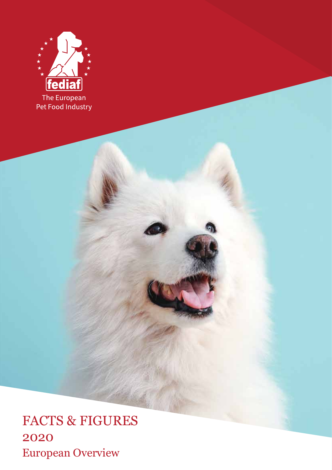

FACTS & FIGURES 2020 European Overview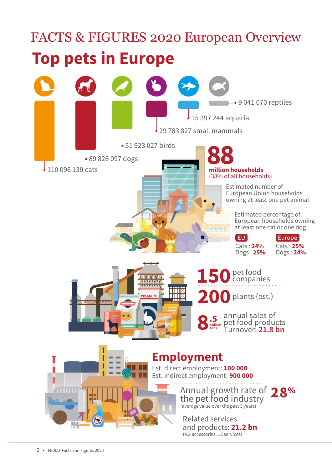# FACTS & FIGURES 2020 European Overview **Top pets in Europe**

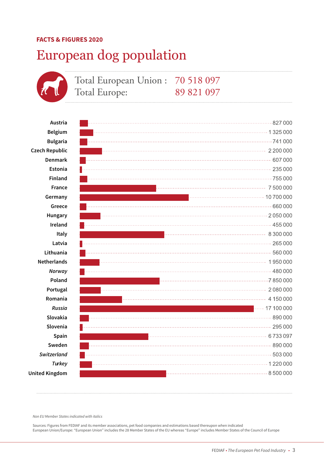### European dog population



*Non EU Member States indicated with italics*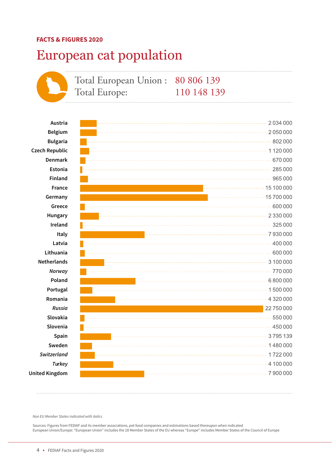### European cat population



*Non EU Member States indicated with italics*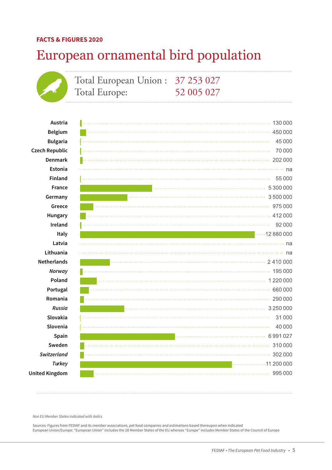## European ornamental bird population

|                       | Total European Union: 37 253 027<br>Total Europe: |            |                     |
|-----------------------|---------------------------------------------------|------------|---------------------|
|                       |                                                   | 52 005 027 |                     |
|                       |                                                   |            |                     |
| Austria               |                                                   |            | 130 000             |
| <b>Belgium</b>        |                                                   |            | 450 000             |
| <b>Bulgaria</b>       |                                                   |            | 45 000              |
| <b>Czech Republic</b> |                                                   |            | 70 000              |
| <b>Denmark</b>        |                                                   |            | 202 000             |
| Estonia               |                                                   |            | na                  |
| Finland               |                                                   |            | 55 000              |
| France                |                                                   |            | 5 300 000           |
| Germany               |                                                   |            | 3500000             |
| Greece                |                                                   |            | 975000              |
| Hungary               |                                                   |            | 412000              |
| Ireland               |                                                   |            | 92 000              |
| Italy                 |                                                   |            | $\cdots$ 12 880 000 |
| Latvia                |                                                   |            | na                  |
| Lithuania             |                                                   |            | na                  |
| <b>Netherlands</b>    |                                                   |            |                     |
| Norway                |                                                   |            | 195 000             |
| Poland                |                                                   |            | 1220000             |
| Portugal              |                                                   |            | 660000              |
| Romania               |                                                   |            | 290 000             |
| Russia                |                                                   |            | 3 250 000           |
| Slovakia              |                                                   |            | 31 000              |
| Slovenia              |                                                   |            | 40 000              |
| Spain                 |                                                   |            | 6991027             |
| Sweden                |                                                   |            | 310 000             |
| Switzerland           |                                                   |            | 302 000             |
| Turkey                |                                                   |            | . 11 200 000        |
| <b>United Kingdom</b> |                                                   |            | 995 000             |

*Non EU Member States indicated with italics*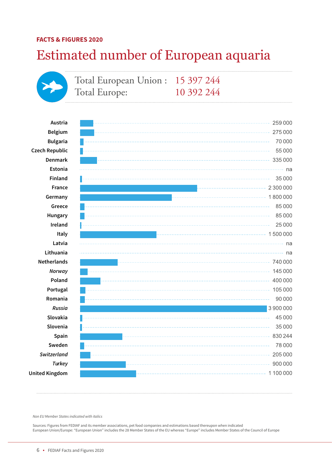### Estimated number of European aquaria



*Non EU Member States indicated with italics*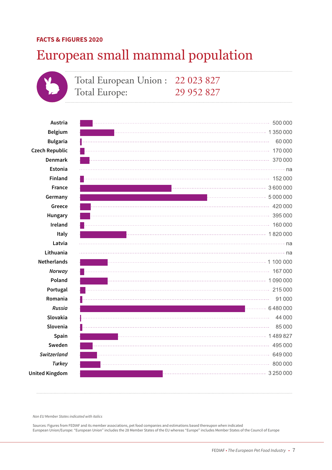### European small mammal population

Total European Union : 22 023 827 Total Europe: 29 952 827

**Austria Belgium Bulgaria Czech Republic Denmark Estonia Finland France Germany Greece Hungary Ireland Italy Latvia Lithuania Netherlands**  *Norway*  **Poland Portugal Romania**  *Russia* **Slovakia Slovenia Spain Sweden**  *Switzerland Turkey* **United Kingdom**

|         | 500 000 |
|---------|---------|
| 1350000 |         |
|         | 60 000  |
|         | 170 000 |
|         | 370 000 |
|         |         |
|         |         |
|         |         |
|         |         |
|         |         |
|         |         |
|         | 160 000 |
|         |         |
|         |         |
|         |         |
|         |         |
|         | 167000  |
|         |         |
|         |         |
|         | 91 000  |
| 6480000 |         |
|         | 44 000  |
|         | 85000   |
| 1489827 |         |
|         | 495 000 |
|         | 649000  |
|         | 800 000 |
|         |         |

*Non EU Member States indicated with italics*

Sources: Figures from FEDIAF and its member associations, pet food companies and estimations based thereupon when indicated European Union/Europe: "European Union" includes the 28 Member States of the EU whereas "Europe" includes Member States of the Council of Europe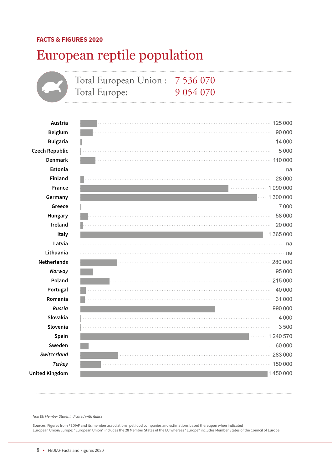## European reptile population

|                       | Total European Union: 7 536 070<br>Total Europe: | 9 0 5 4 0 7 0 |           |
|-----------------------|--------------------------------------------------|---------------|-----------|
|                       |                                                  |               |           |
| Austria               |                                                  |               | 125 000   |
| <b>Belgium</b>        |                                                  |               | 90 000    |
| <b>Bulgaria</b>       |                                                  |               | 14 000    |
| <b>Czech Republic</b> |                                                  |               | 5000      |
| <b>Denmark</b>        |                                                  |               | 110 000   |
| Estonia               |                                                  |               | na        |
| Finland               |                                                  |               | 28 000    |
| France                |                                                  |               | 1090000   |
| Germany               |                                                  |               | 1 300 000 |
| Greece                |                                                  |               | 7000      |
| Hungary               |                                                  |               | 58000     |
| Ireland               |                                                  |               | 20 000    |
| Italy                 |                                                  |               | 1 365 000 |
| Latvia                |                                                  |               | na        |
| Lithuania             |                                                  |               | na        |
| <b>Netherlands</b>    |                                                  |               | 280 000   |
| Norway                |                                                  |               | 95 000    |
| Poland                |                                                  |               | 215000    |
| Portugal              |                                                  |               | 40 000    |
| Romania               |                                                  |               | 31000     |
| Russia                |                                                  |               | 990 000   |
| Slovakia              |                                                  |               | 4000      |
| Slovenia              |                                                  |               | 3500      |
| Spain                 |                                                  |               | 1 240 570 |
| Sweden                |                                                  |               | 60000     |
| Switzerland           |                                                  |               | 283000    |
| <b>Turkey</b>         |                                                  |               | 150 000   |
| <b>United Kingdom</b> |                                                  |               | 1450000   |

*Non EU Member States indicated with italics*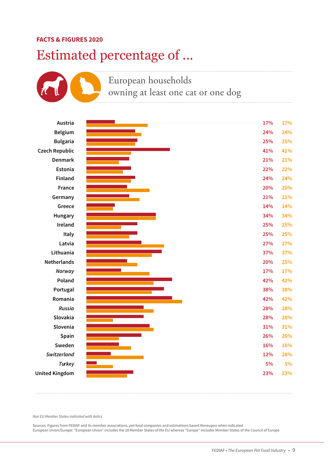### Estimated percentage of ...

### European households owning at least one cat or one dog



*Non EU Member States indicated with italics*